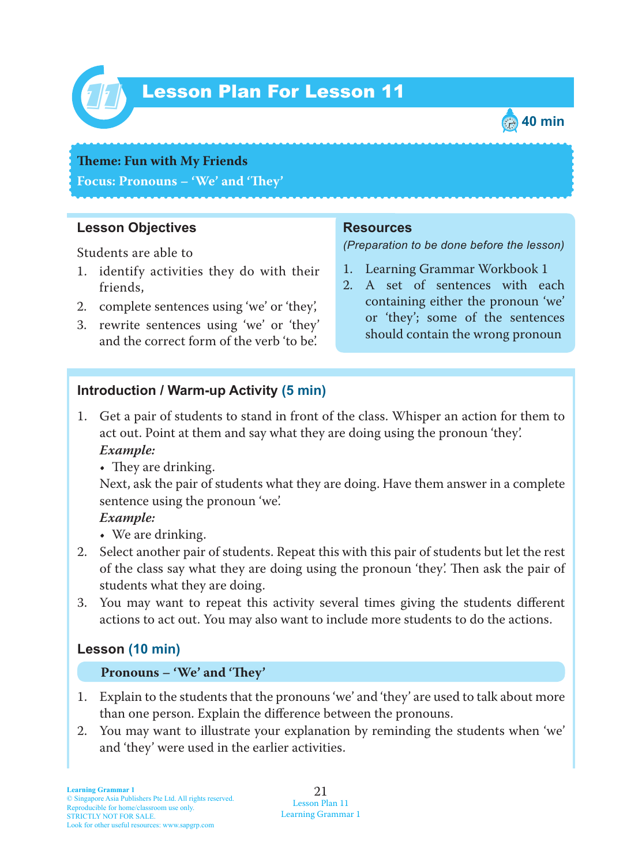

# Lesson Plan For Lesson 11 *11*



#### **Teme : Fun with My Friends**

**Focus: Pronouns – 'We' and 'Tey'**

## **Lesson Objectives**

Students are able to

- 1. identify activities they do with their friends,
- 2. complete sentences using 'we' or 'they',
- 3. rewrite sentences using 'we' or 'they' and the correct form of the verb 'to be'.

### **Resources**

*(Preparation to be done before the lesson)*

- 1. Learning Grammar Workbook 1
- 2. A set of sentences with each containing either the pronoun 'we' or 'they'; some of the sentences should contain the wrong pronoun

# **Introduction / Warm-up Activity (5 min)**

1. Get a pair of students to stand in front of the class. Whisper an action for them to act out. Point at them and say what they are doing using the pronoun 'they'.  *Example:*

 $\cdot$  They are drinking.

Next, ask the pair of students what they are doing. Have them answer in a complete sentence using the pronoun 'we'.

### *Example:*

• We are drinking.

- 2. Select another pair of students. Repeat this with this pair of students but let the rest of the class say what they are doing using the pronoun 'they'. Then ask the pair of students what they are doing.
- 3. You may want to repeat this activity several times giving the students different actions to act out. You may also want to include more students to do the actions.

# **Lesson (10 min)**

#### **Pronouns – 'We' and 'Tey'**

- 1. Explain to the students that the pronouns 'we' and 'they' are used to talk about more than one person. Explain the difference between the pronouns.
- 2. You may want to illustrate your explanation by reminding the students when 'we' and 'they' were used in the earlier activities.